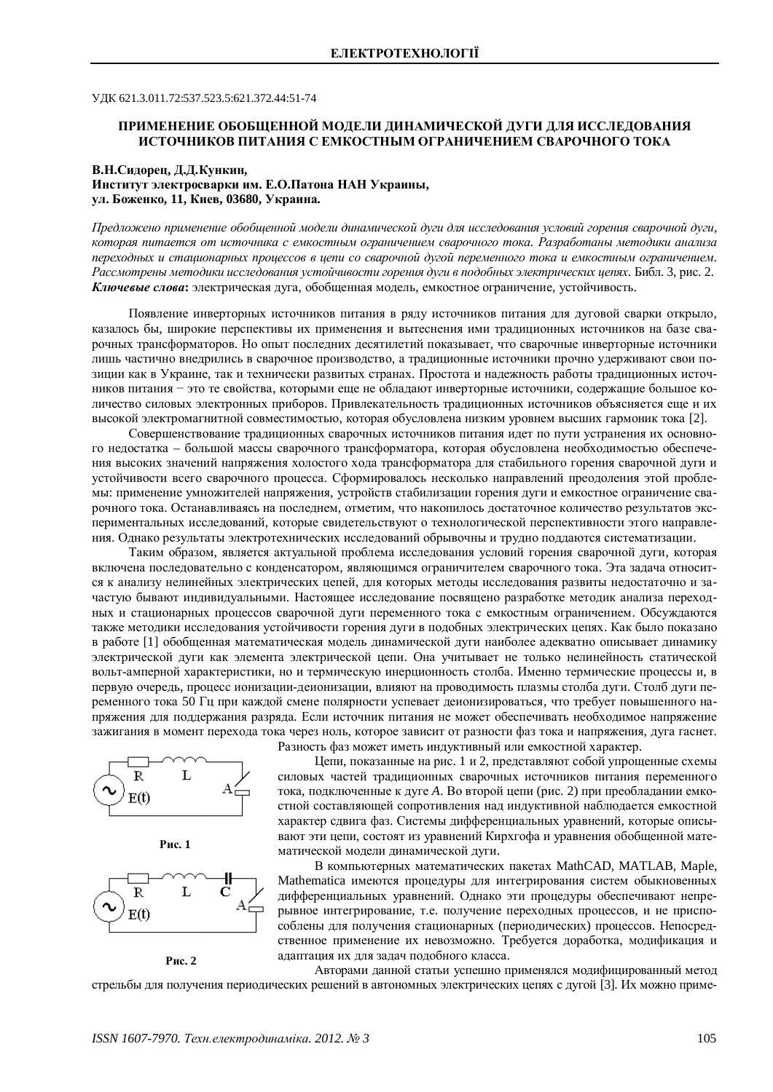ɍȾɄ 621.3.011.72:537.523.5:621.372.44:51-74

## ПРИМЕНЕНИЕ ОБОБЩЕННОЙ МОДЕЛИ ДИНАМИЧЕСКОЙ ДУГИ ДЛЯ ИССЛЕДОВАНИЯ **ИСТОЧНИКОВ ПИТАНИЯ С ЕМКОСТНЫМ ОГРАНИЧЕНИЕМ СВАРОЧНОГО ТОКА**

## В.Н.Сидорец, Д.Д.Кункин,

Институт электросварки им. Е.О.Патона НАН Украины, ул. Боженко, 11, Киев, 03680, Украина.

*ɉɪɟɞɥɨɠɟɧɨɩɪɢɦɟɧɟɧɢɟɨɛɨɛɳɟɧɧɨɣɦɨɞɟɥɢɞɢɧɚɦɢɱɟɫɤɨɣɞɭɝɢɞɥɹɢɫɫɥɟɞɨɜɚɧɢɹɭɫɥɨɜɢɣɝɨɪɟɧɢɹɫɜɚɪɨɱɧɨɣɞɭɝɢ,* которая питается от источника с емкостным ограничением сварочного тока. Разработаны методики анализа переходных и стационарных процессов в цепи со сварочной дугой переменного тока и емкостным ограничением. Рассмотрены методики исследования устойчивости горения дуги в подобных электрических цепях. Библ. 3, рис. 2. Ключевые слова: электрическая дуга, обобщенная модель, емкостное ограничение, устойчивость.

Появление инверторных источников питания в ряду источников питания для дуговой сварки открыло, казалось бы, широкие перспективы их применения и вытеснения ими традиционных источников на базе сварочных трансформаторов. Но опыт последних десятилетий показывает, что сварочные инверторные источники лишь частично внедрились в сварочное производство, а традиционные источники прочно удерживают свои позиции как в Украине, так и технически развитых странах. Простота и надежность работы традиционных источников питания - это те свойства, которыми еще не обладают инверторные источники, содержащие большое количество силовых электронных приборов. Привлекательность традиционных источников объясняется еще и их высокой электромагнитной совместимостью, которая обусловлена низким уровнем высших гармоник тока [2].

Совершенствование традиционных сварочных источников питания идет по пути устранения их основного нелостатка – большой массы сварочного трансформатора, которая обусловлена необходимостью обеспечения высоких значений напряжения холостого хола трансформатора лля стабильного горения сварочной луги и устойчивости всего сварочного процесса. Сформировалось несколько направлений преодоления этой проблемы: применение умножителей напряжения, устройств стабилизации горения дуги и емкостное ограничение сварочного тока. Останавливаясь на последнем, отметим, что накопилось достаточное количество результатов экспериментальных исследований, которые свидетельствуют о технологической перспективности этого направления. Однако результаты электротехнических исследований обрывочны и трудно поддаются систематизации.

Таким образом, является актуальной проблема исследования условий горения сварочной дуги, которая включена последовательно с конденсатором, являющимся ограничителем сварочного тока. Эта задача относится к анализу нелинейных электрических цепей, для которых методы исследования развиты недостаточно и зачастую бывают индивидуальными. Настоящее исследование посвящено разработке методик анализа переходных и стационарных процессов сварочной дуги переменного тока с емкостным ограничением. Обсуждаются также методики исследования устойчивости горения дуги в подобных электрических цепях. Как было показано в работе [1] обобщенная математическая модель динамической дуги наиболее адекватно описывает динамику электрической дуги как элемента электрической цепи. Она учитывает не только нелинейность статической вольт-амперной характеристики, но и термическую инерционность столба. Именно термические процессы и, в первую очередь, процесс ионизации-деионизации, влияют на проводимость плазмы столба дуги. Столб дуги переменного тока 50 Гц при каждой смене полярности успевает деионизироваться, что требует повышенного напряжения для поддержания разряда. Если источник питания не может обеспечивать необходимое напряжение зажигания в момент перехода тока через ноль, которое зависит от разности фаз тока и напряжения, дуга гаснет. Разность фаз может иметь индуктивный или емкостной характер.







**Рис. 2** 

Цепи, показанные на рис. 1 и 2, представляют собой упрощенные схемы силовых частей традиционных сварочных источников питания переменного тока, подключенные к дуге А. Во второй цепи (рис. 2) при преобладании емкостной составляющей сопротивления над индуктивной наблюдается емкостной характер сдвига фаз. Системы дифференциальных уравнений, которые описывают эти цепи, состоят из уравнений Кирхгофа и уравнения обобщенной математической модели динамической дуги.

В компьютерных математических пакетах MathCAD, MATLAB, Maple, Mathematica имеются процедуры для интегрирования систем обыкновенных дифференциальных уравнений. Однако эти процедуры обеспечивают непрерывное интегрирование, т.е. получение переходных процессов, и не приспособлены для получения стационарных (периодических) процессов. Непосредственное применение их невозможно. Требуется доработка, модификация и адаптация их для задач подобного класса.

Авторами данной статьи успешно применялся модифицированный метод стрельбы для получения периодических решений в автономных электрических цепях с дугой [3]. Их можно приме